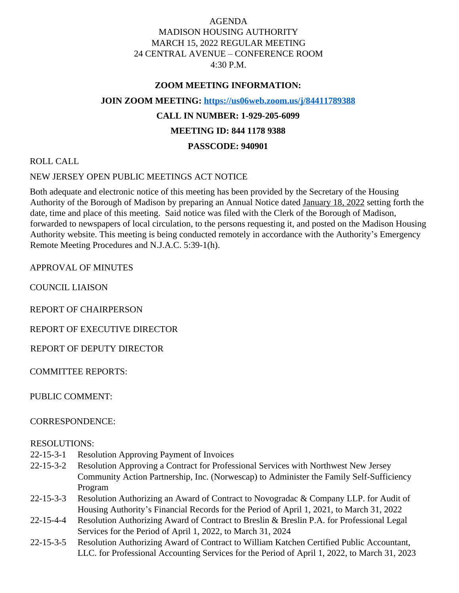## AGENDA MADISON HOUSING AUTHORITY MARCH 15, 2022 REGULAR MEETING 24 CENTRAL AVENUE – CONFERENCE ROOM 4:30 P.M.

#### **ZOOM MEETING INFORMATION:**

**JOIN ZOOM MEETING:<https://us06web.zoom.us/j/84411789388>**

## **CALL IN NUMBER: 1-929-205-6099**

#### **MEETING ID: 844 1178 9388**

### **PASSCODE: 940901**

ROLL CALL

### NEW JERSEY OPEN PUBLIC MEETINGS ACT NOTICE

Both adequate and electronic notice of this meeting has been provided by the Secretary of the Housing Authority of the Borough of Madison by preparing an Annual Notice dated January 18, 2022 setting forth the date, time and place of this meeting. Said notice was filed with the Clerk of the Borough of Madison, forwarded to newspapers of local circulation, to the persons requesting it, and posted on the Madison Housing Authority website. This meeting is being conducted remotely in accordance with the Authority's Emergency Remote Meeting Procedures and N.J.A.C. 5:39-1(h).

APPROVAL OF MINUTES

COUNCIL LIAISON

REPORT OF CHAIRPERSON

REPORT OF EXECUTIVE DIRECTOR

REPORT OF DEPUTY DIRECTOR

COMMITTEE REPORTS:

PUBLIC COMMENT:

#### CORRESPONDENCE:

#### RESOLUTIONS:

- 22-15-3-1 Resolution Approving Payment of Invoices
- 22-15-3-2 Resolution Approving a Contract for Professional Services with Northwest New Jersey Community Action Partnership, Inc. (Norwescap) to Administer the Family Self-Sufficiency Program
- 22-15-3-3 Resolution Authorizing an Award of Contract to Novogradac & Company LLP. for Audit of Housing Authority's Financial Records for the Period of April 1, 2021, to March 31, 2022
- 22-15-4-4 Resolution Authorizing Award of Contract to Breslin & Breslin P.A. for Professional Legal Services for the Period of April 1, 2022, to March 31, 2024
- 22-15-3-5 Resolution Authorizing Award of Contract to William Katchen Certified Public Accountant, LLC. for Professional Accounting Services for the Period of April 1, 2022, to March 31, 2023